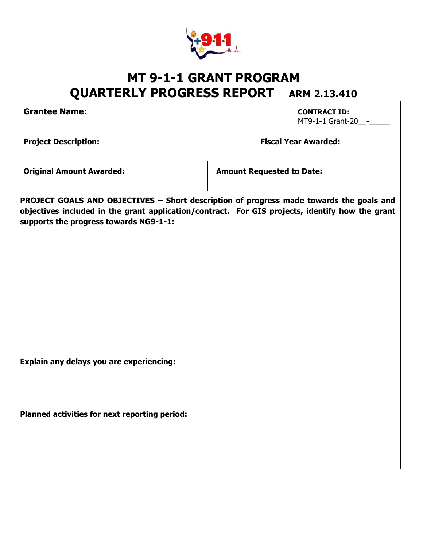

## **MT 9-1-1 GRANT PROGRAM QUARTERLY PROGRESS REPORT ARM 2.13.410**

| <b>Grantee Name:</b>                                                                                                                                                                                                                 | <b>CONTRACT ID:</b><br>MT9-1-1 Grant-20__-_ |
|--------------------------------------------------------------------------------------------------------------------------------------------------------------------------------------------------------------------------------------|---------------------------------------------|
| <b>Project Description:</b>                                                                                                                                                                                                          | <b>Fiscal Year Awarded:</b>                 |
| <b>Original Amount Awarded:</b>                                                                                                                                                                                                      | <b>Amount Requested to Date:</b>            |
| PROJECT GOALS AND OBJECTIVES - Short description of progress made towards the goals and<br>objectives included in the grant application/contract. For GIS projects, identify how the grant<br>supports the progress towards NG9-1-1: |                                             |
| Explain any delays you are experiencing:                                                                                                                                                                                             |                                             |
| Planned activities for next reporting period:                                                                                                                                                                                        |                                             |